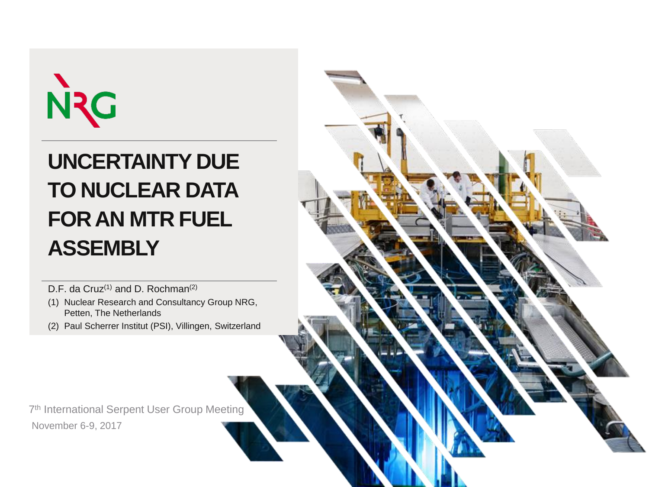# NC

#### **UNCERTAINTY DUE TO NUCLEAR DATA FOR AN MTR FUEL ASSEMBLY**

D.F. da Cruz<sup>(1)</sup> and D. Rochman<sup>(2)</sup>

- (1) Nuclear Research and Consultancy Group NRG, Petten, The Netherlands
- (2) Paul Scherrer Institut (PSI), Villingen, Switzerland

7<sup>th</sup> International Serpent User Group Meeting November 6-9, 2017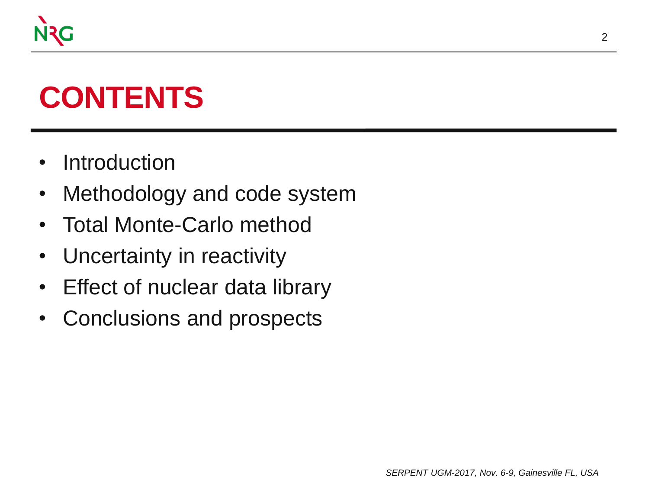

#### **CONTENTS**

- Introduction
- Methodology and code system
- Total Monte-Carlo method
- Uncertainty in reactivity
- Effect of nuclear data library
- Conclusions and prospects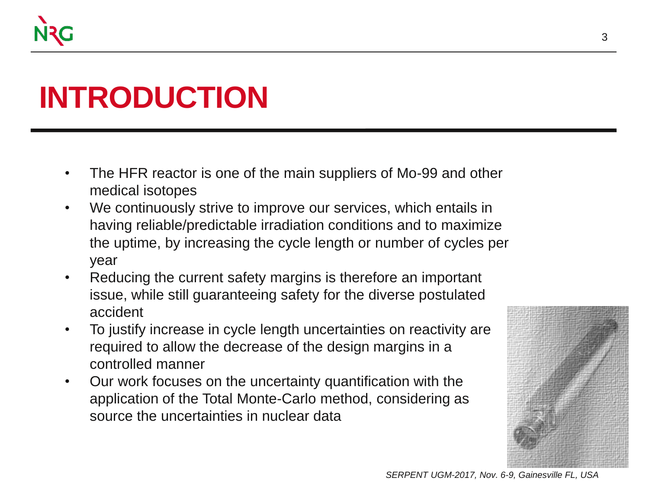

#### **INTRODUCTION**

- The HFR reactor is one of the main suppliers of Mo-99 and other medical isotopes
- We continuously strive to improve our services, which entails in having reliable/predictable irradiation conditions and to maximize the uptime, by increasing the cycle length or number of cycles per year
- Reducing the current safety margins is therefore an important issue, while still guaranteeing safety for the diverse postulated accident
- To justify increase in cycle length uncertainties on reactivity are required to allow the decrease of the design margins in a controlled manner
- Our work focuses on the uncertainty quantification with the application of the Total Monte-Carlo method, considering as source the uncertainties in nuclear data

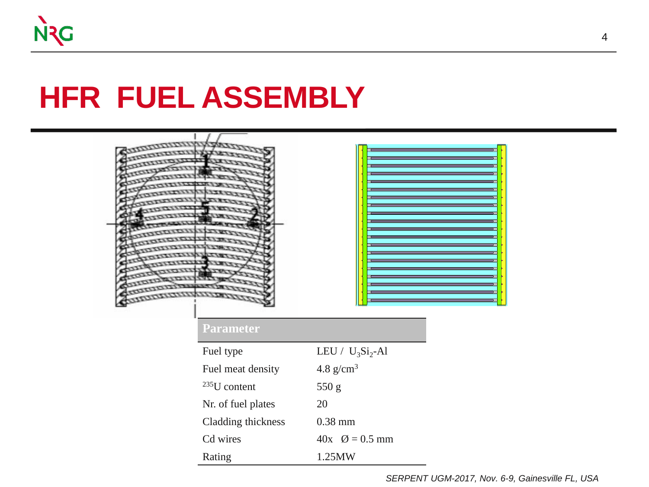#### **HFR FUEL ASSEMBLY**



#### **Parameter**

| Fuel type          | LEU / $U_3Si_2$ -Al          |
|--------------------|------------------------------|
| Fuel meat density  | 4.8 $g/cm3$                  |
| $^{235}$ U content | 550 g                        |
| Nr. of fuel plates | 20                           |
| Cladding thickness | $0.38$ mm                    |
| Cd wires           | $40x$ $\varnothing = 0.5$ mm |
| Rating             | 1.25MW                       |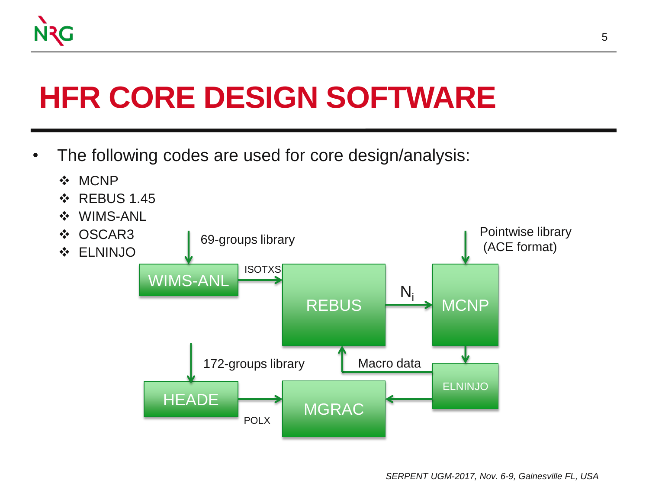

#### **HFR CORE DESIGN SOFTWARE**

• The following codes are used for core design/analysis:

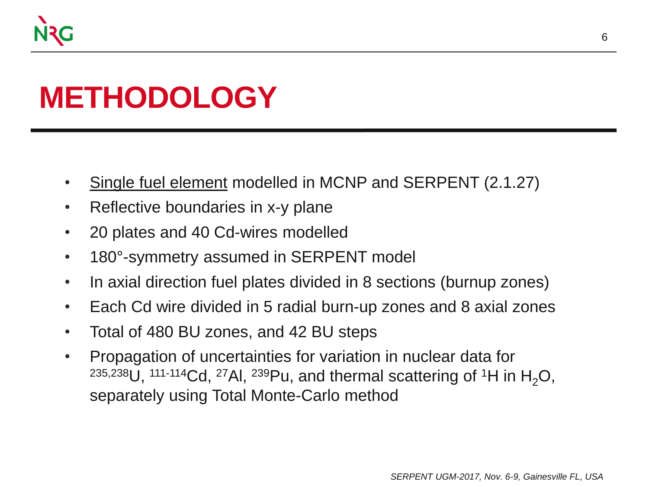

#### **METHODOLOGY**

- Single fuel element modelled in MCNP and SERPENT (2.1.27)
- Reflective boundaries in x-y plane
- 20 plates and 40 Cd-wires modelled
- 180°-symmetry assumed in SERPENT model
- In axial direction fuel plates divided in 8 sections (burnup zones)
- Each Cd wire divided in 5 radial burn-up zones and 8 axial zones
- Total of 480 BU zones, and 42 BU steps
- Propagation of uncertainties for variation in nuclear data for <sup>235,238</sup>U, <sup>111-114</sup>Cd, <sup>27</sup>AI, <sup>239</sup>Pu, and thermal scattering of <sup>1</sup>H in H<sub>2</sub>O, separately using Total Monte-Carlo method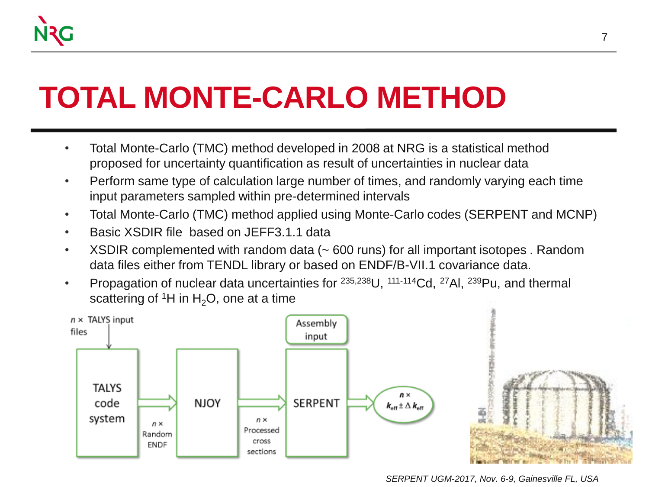### **TOTAL MONTE-CARLO METHOD**

- Total Monte-Carlo (TMC) method developed in 2008 at NRG is a statistical method proposed for uncertainty quantification as result of uncertainties in nuclear data
- Perform same type of calculation large number of times, and randomly varying each time input parameters sampled within pre-determined intervals
- Total Monte-Carlo (TMC) method applied using Monte-Carlo codes (SERPENT and MCNP)
- Basic XSDIR file based on JEFF3.1.1 data
- XSDIR complemented with random data (~600 runs) for all important isotopes. Random data files either from TENDL library or based on ENDF/B-VII.1 covariance data.
- Propagation of nuclear data uncertainties for  $235,238$ U,  $111-114$ Cd,  $27$ AI,  $239$ Pu, and thermal scattering of  ${}^{1}H$  in H<sub>2</sub>O, one at a time

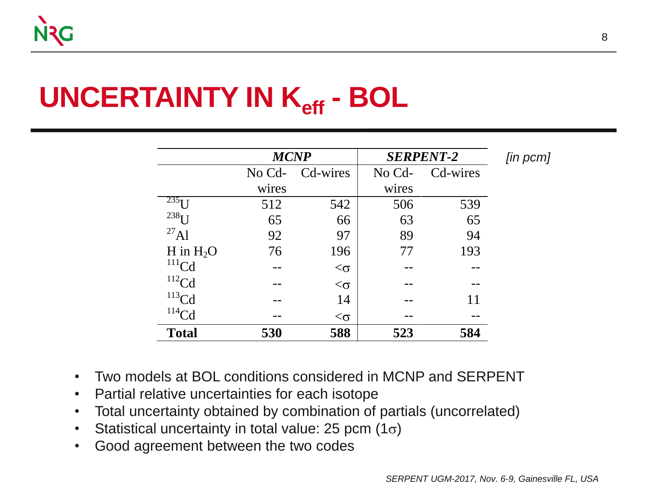#### **UNCERTAINTY IN Keff - BOL**

|                        | <b>MCNP</b> |              |        | <b>SERPENT-2</b> | [in pcm] |
|------------------------|-------------|--------------|--------|------------------|----------|
|                        | No Cd-      | Cd-wires     | No Cd- | Cd-wires         |          |
|                        | wires       |              | wires  |                  |          |
| $235$ $\overline{1}$ J | 512         | 542          | 506    | 539              |          |
| $238$ $I$ J            | 65          | 66           | 63     | 65               |          |
| $^{27}$ Al             | 92          | 97           | 89     | 94               |          |
| H in $H_2O$            | 76          | 196          | 77     | 193              |          |
| $111$ Cd               |             | $<$ $\sigma$ |        |                  |          |
| $112$ Cd               |             | $<$ $\sigma$ |        |                  |          |
| $^{113}$ Cd            |             | 14           |        | 11               |          |
| $114$ Cd               |             | $<$ $\sigma$ |        |                  |          |
| <b>Total</b>           | 530         | 588          | 523    | 584              |          |

- Two models at BOL conditions considered in MCNP and SERPENT
- Partial relative uncertainties for each isotope
- Total uncertainty obtained by combination of partials (uncorrelated)
- Statistical uncertainty in total value: 25 pcm  $(1\sigma)$
- Good agreement between the two codes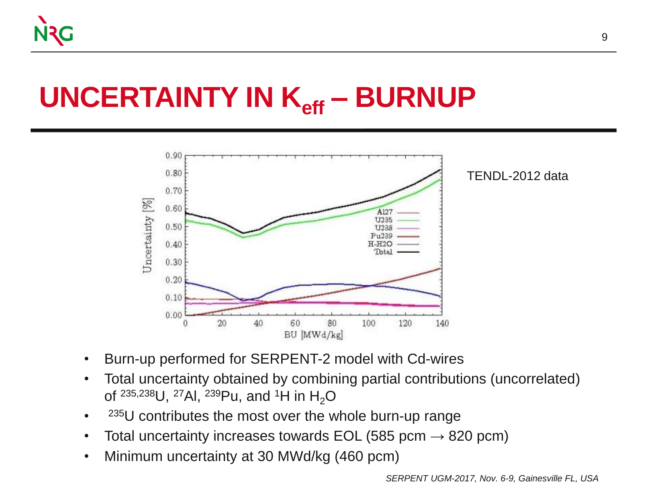#### **UNCERTAINTY IN Keff – BURNUP**



- Burn-up performed for SERPENT-2 model with Cd-wires
- Total uncertainty obtained by combining partial contributions (uncorrelated) of  $^{235,238}$ U,  $^{27}$ Al,  $^{239}$ Pu, and <sup>1</sup>H in H<sub>2</sub>O
- $235$ U contributes the most over the whole burn-up range
- Total uncertainty increases towards EOL (585 pcm  $\rightarrow$  820 pcm)
- Minimum uncertainty at 30 MWd/kg (460 pcm)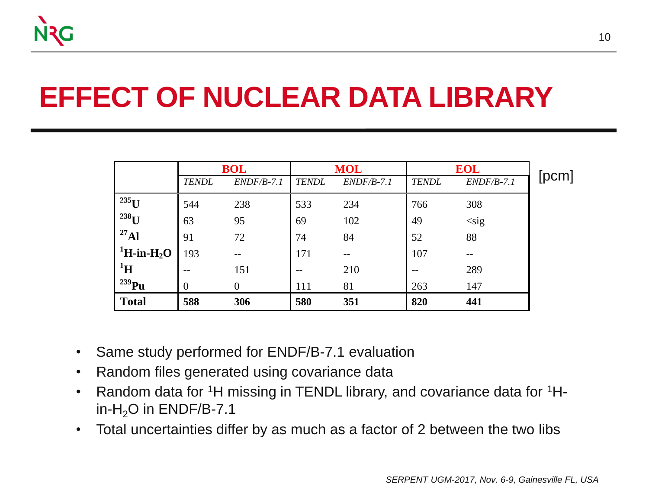#### **EFFECT OF NUCLEAR DATA LIBRARY**

|                                                                 |                | <b>BOL</b>   | <b>MOL</b>   |              | <b>EOL</b>   |              |  |  |
|-----------------------------------------------------------------|----------------|--------------|--------------|--------------|--------------|--------------|--|--|
|                                                                 | <b>TENDL</b>   | $ENDF/B-7.1$ | <b>TENDL</b> | $ENDF/B-7.1$ | <b>TENDL</b> | $ENDF/B-7.1$ |  |  |
| $^{235}$ U                                                      | 544            | 238          | 533          | 234          | 766          | 308          |  |  |
| $238$ U                                                         | 63             | 95           | 69           | 102          | 49           | $<$ sig      |  |  |
| $^{27}$ Al                                                      | 91             | 72           | 74           | 84           | 52           | 88           |  |  |
| $\mathrm{^1H}\text{-}\mathrm{in}\text{-}\mathrm{H}_2\mathrm{O}$ | 193            |              | 171          | --           | 107          | --           |  |  |
| $\rm ^1H$                                                       | $- -$          | 151          |              | 210          |              | 289          |  |  |
| $^{239}Pu$                                                      | $\overline{0}$ | $\Omega$     | 111          | 81           | 263          | 147          |  |  |
| <b>Total</b>                                                    | 588            | 306          | 580          | 351          | 820          | 441          |  |  |

- Same study performed for ENDF/B-7.1 evaluation
- Random files generated using covariance data
- Random data for <sup>1</sup>H missing in TENDL library, and covariance data for <sup>1</sup>Hin-H<sub>2</sub>O in ENDF/B-7.1
- Total uncertainties differ by as much as a factor of 2 between the two libs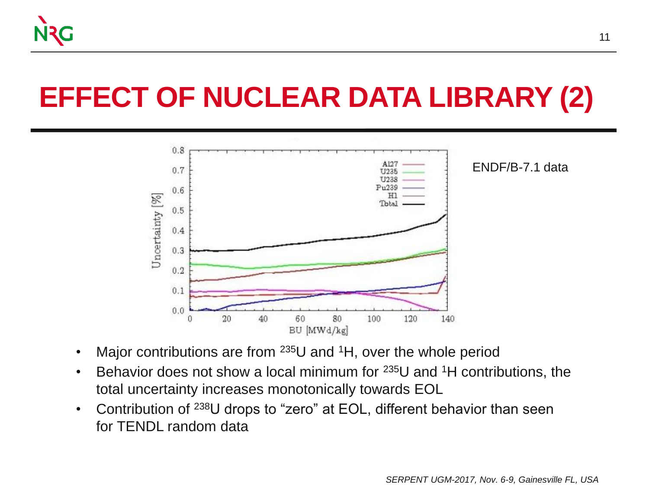

#### **EFFECT OF NUCLEAR DATA LIBRARY (2)**



- Major contributions are from  $235U$  and <sup>1</sup>H, over the whole period
- Behavior does not show a local minimum for  $235U$  and  $1H$  contributions, the total uncertainty increases monotonically towards EOL
- Contribution of <sup>238</sup>U drops to "zero" at EOL, different behavior than seen for TENDL random data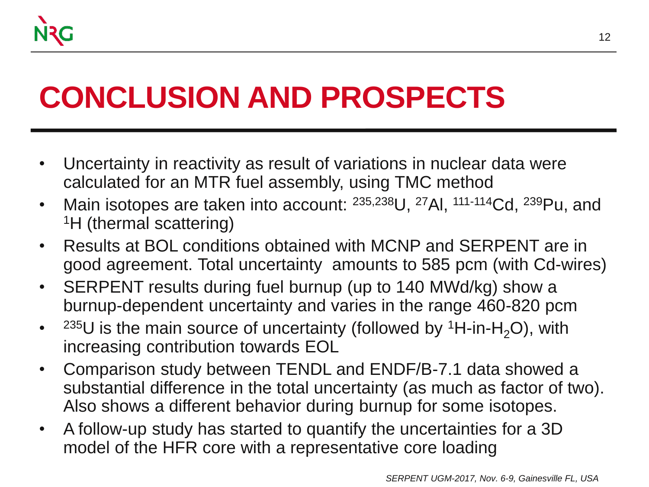### **CONCLUSION AND PROSPECTS**

- Uncertainty in reactivity as result of variations in nuclear data were calculated for an MTR fuel assembly, using TMC method
- Main isotopes are taken into account:  $235,238$ U,  $27$ AI,  $111-114$ Cd,  $239$ Pu, and <sup>1</sup>H (thermal scattering)
- Results at BOL conditions obtained with MCNP and SERPENT are in good agreement. Total uncertainty amounts to 585 pcm (with Cd-wires)
- SERPENT results during fuel burnup (up to 140 MWd/kg) show a burnup-dependent uncertainty and varies in the range 460-820 pcm
- $\bullet$ <sup>235</sup>U is the main source of uncertainty (followed by <sup>1</sup>H-in-H<sub>2</sub>O), with increasing contribution towards EOL
- Comparison study between TENDL and ENDF/B-7.1 data showed a substantial difference in the total uncertainty (as much as factor of two). Also shows a different behavior during burnup for some isotopes.
- A follow-up study has started to quantify the uncertainties for a 3D model of the HFR core with a representative core loading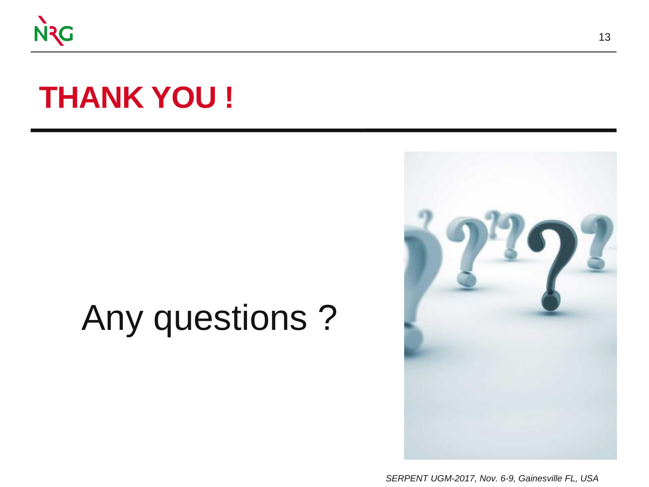

#### **THANK YOU !**

## Any questions ?

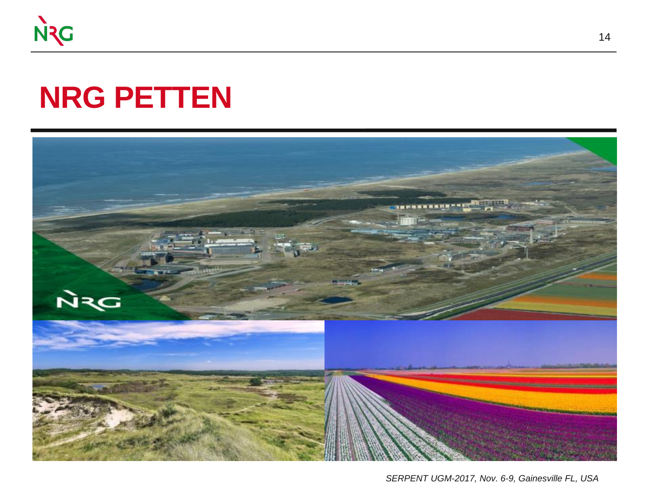

#### **NRG PETTEN**

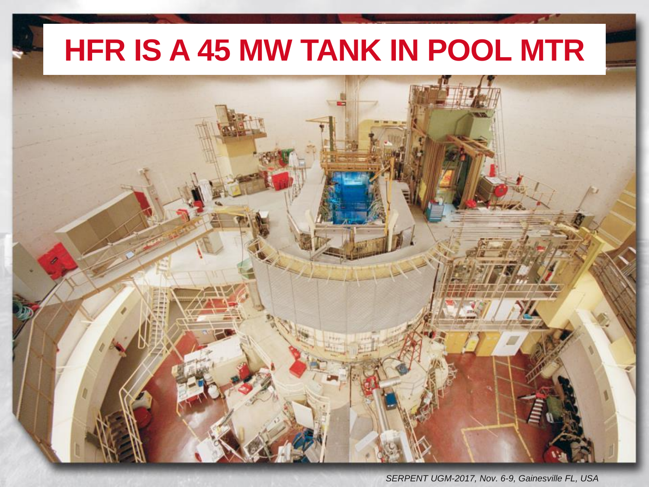#### **HFR IS A 45 MW TANK IN POOL MTR**

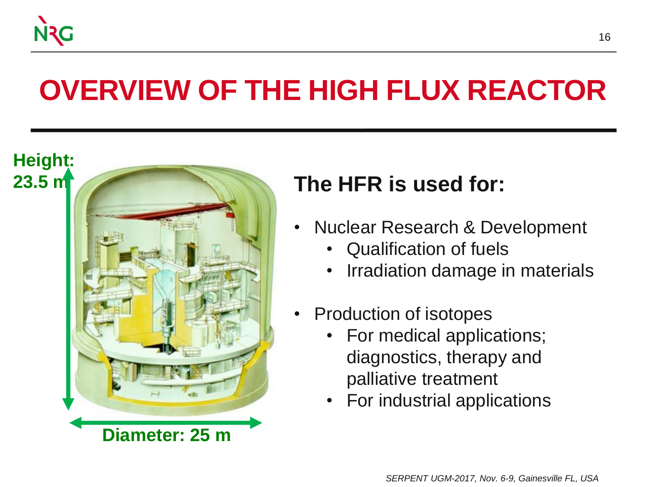

#### **OVERVIEW OF THE HIGH FLUX REACTOR**



- Nuclear Research & Development
	- Qualification of fuels
	- Irradiation damage in materials
- Production of isotopes
	- For medical applications; diagnostics, therapy and palliative treatment
	- For industrial applications